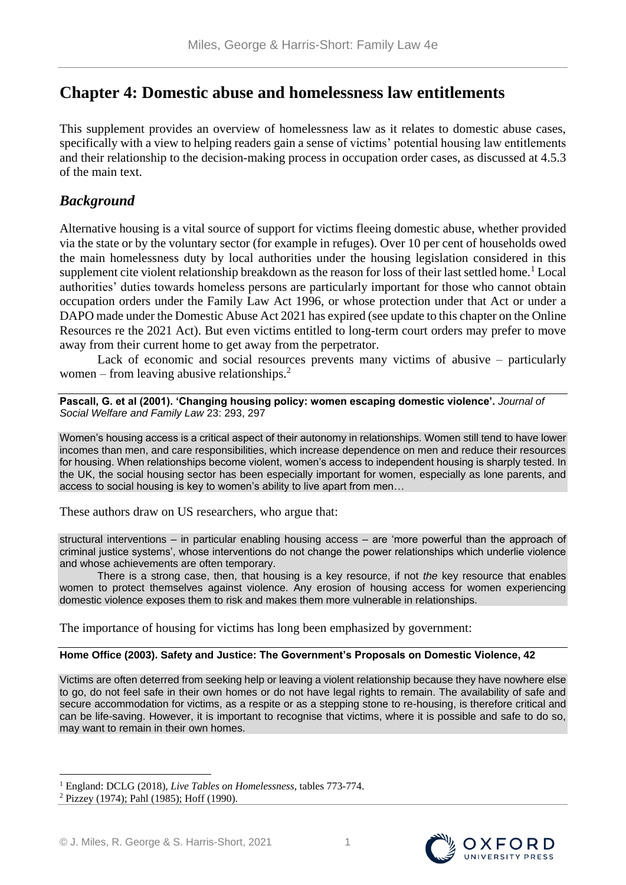# **Chapter 4: Domestic abuse and homelessness law entitlements**

This supplement provides an overview of homelessness law as it relates to domestic abuse cases, specifically with a view to helping readers gain a sense of victims' potential housing law entitlements and their relationship to the decision-making process in occupation order cases, as discussed at 4.5.3 of the main text.

# *Background*

Alternative housing is a vital source of support for victims fleeing domestic abuse, whether provided via the state or by the voluntary sector (for example in refuges). Over 10 per cent of households owed the main homelessness duty by local authorities under the housing legislation considered in this supplement cite violent relationship breakdown as the reason for loss of their last settled home.<sup>1</sup> Local authorities' duties towards homeless persons are particularly important for those who cannot obtain occupation orders under the Family Law Act 1996, or whose protection under that Act or under a DAPO made under the Domestic Abuse Act 2021 has expired (see update to this chapter on the Online Resources re the 2021 Act). But even victims entitled to long-term court orders may prefer to move away from their current home to get away from the perpetrator.

Lack of economic and social resources prevents many victims of abusive – particularly women – from leaving abusive relationships. $2^2$ 

**Pascall, G. et al (2001). 'Changing housing policy: women escaping domestic violence'.** *Journal of Social Welfare and Family Law* 23: 293, 297

Women's housing access is a critical aspect of their autonomy in relationships. Women still tend to have lower incomes than men, and care responsibilities, which increase dependence on men and reduce their resources for housing. When relationships become violent, women's access to independent housing is sharply tested. In the UK, the social housing sector has been especially important for women, especially as lone parents, and access to social housing is key to women's ability to live apart from men…

These authors draw on US researchers, who argue that:

structural interventions – in particular enabling housing access – are 'more powerful than the approach of criminal justice systems', whose interventions do not change the power relationships which underlie violence and whose achievements are often temporary.

There is a strong case, then, that housing is a key resource, if not *the* key resource that enables women to protect themselves against violence. Any erosion of housing access for women experiencing domestic violence exposes them to risk and makes them more vulnerable in relationships.

The importance of housing for victims has long been emphasized by government:

# **Home Office (2003). Safety and Justice: The Government's Proposals on Domestic Violence, 42**

Victims are often deterred from seeking help or leaving a violent relationship because they have nowhere else to go, do not feel safe in their own homes or do not have legal rights to remain. The availability of safe and secure accommodation for victims, as a respite or as a stepping stone to re-housing, is therefore critical and can be life-saving. However, it is important to recognise that victims, where it is possible and safe to do so, may want to remain in their own homes.





<sup>1</sup> England: DCLG (2018), *Live Tables on Homelessness,* tables 773-774.

<sup>2</sup> Pizzey (1974); Pahl (1985); Hoff (1990).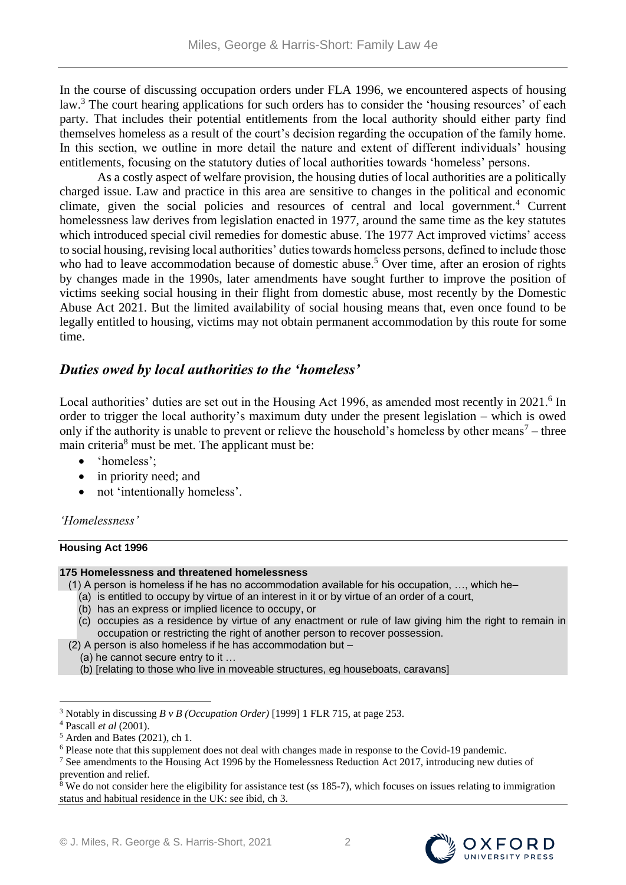In the course of discussing occupation orders under FLA 1996, we encountered aspects of housing law.<sup>3</sup> The court hearing applications for such orders has to consider the 'housing resources' of each party. That includes their potential entitlements from the local authority should either party find themselves homeless as a result of the court's decision regarding the occupation of the family home. In this section, we outline in more detail the nature and extent of different individuals' housing entitlements, focusing on the statutory duties of local authorities towards 'homeless' persons.

As a costly aspect of welfare provision, the housing duties of local authorities are a politically charged issue. Law and practice in this area are sensitive to changes in the political and economic climate, given the social policies and resources of central and local government.<sup>4</sup> Current homelessness law derives from legislation enacted in 1977, around the same time as the key statutes which introduced special civil remedies for domestic abuse. The 1977 Act improved victims' access to social housing, revising local authorities' duties towards homeless persons, defined to include those who had to leave accommodation because of domestic abuse.<sup>5</sup> Over time, after an erosion of rights by changes made in the 1990s, later amendments have sought further to improve the position of victims seeking social housing in their flight from domestic abuse, most recently by the Domestic Abuse Act 2021. But the limited availability of social housing means that, even once found to be legally entitled to housing, victims may not obtain permanent accommodation by this route for some time.

# *Duties owed by local authorities to the 'homeless'*

Local authorities' duties are set out in the Housing Act 1996, as amended most recently in 2021.<sup>6</sup> In order to trigger the local authority's maximum duty under the present legislation – which is owed only if the authority is unable to prevent or relieve the household's homeless by other means<sup>7</sup> – three main criteria<sup>8</sup> must be met. The applicant must be:

- 'homeless':
- in priority need; and
- not 'intentionally homeless'.

# *'Homelessness'*

#### **Housing Act 1996**

#### **175 Homelessness and threatened homelessness**

- (1) A person is homeless if he has no accommodation available for his occupation, …, which he–
	- (a) is entitled to occupy by virtue of an interest in it or by virtue of an order of a court,
	- (b) has an express or implied licence to occupy, or
	- (c) occupies as a residence by virtue of any enactment or rule of law giving him the right to remain in occupation or restricting the right of another person to recover possession.
	- (2) A person is also homeless if he has accommodation but
		- (a) he cannot secure entry to it …
		- (b) [relating to those who live in moveable structures, eg houseboats, caravans]

 $8$  We do not consider here the eligibility for assistance test (ss 185-7), which focuses on issues relating to immigration status and habitual residence in the UK: see ibid, ch 3.



<sup>3</sup> Notably in discussing *B v B (Occupation Order)* [1999] 1 FLR 715, at page 253.

<sup>4</sup> Pascall *et al* (2001).

 $<sup>5</sup>$  Arden and Bates (2021), ch 1.</sup>

<sup>6</sup> Please note that this supplement does not deal with changes made in response to the Covid-19 pandemic.

<sup>&</sup>lt;sup>7</sup> See amendments to the Housing Act 1996 by the Homelessness Reduction Act 2017, introducing new duties of prevention and relief.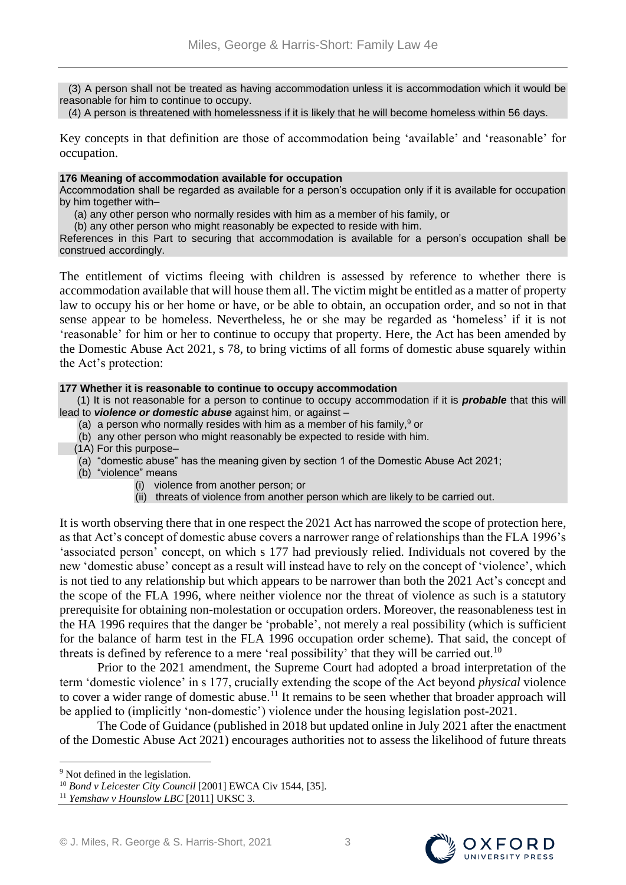(3) A person shall not be treated as having accommodation unless it is accommodation which it would be reasonable for him to continue to occupy.

(4) A person is threatened with homelessness if it is likely that he will become homeless within 56 days.

Key concepts in that definition are those of accommodation being 'available' and 'reasonable' for occupation.

#### **176 Meaning of accommodation available for occupation**

Accommodation shall be regarded as available for a person's occupation only if it is available for occupation by him together with–

(a) any other person who normally resides with him as a member of his family, or

(b) any other person who might reasonably be expected to reside with him.

References in this Part to securing that accommodation is available for a person's occupation shall be construed accordingly.

The entitlement of victims fleeing with children is assessed by reference to whether there is accommodation available that will house them all. The victim might be entitled as a matter of property law to occupy his or her home or have, or be able to obtain, an occupation order, and so not in that sense appear to be homeless. Nevertheless, he or she may be regarded as 'homeless' if it is not 'reasonable' for him or her to continue to occupy that property. Here, the Act has been amended by the Domestic Abuse Act 2021, s 78, to bring victims of all forms of domestic abuse squarely within the Act's protection:

#### **177 Whether it is reasonable to continue to occupy accommodation**

 (1) It is not reasonable for a person to continue to occupy accommodation if it is *probable* that this will lead to *violence or domestic abuse* against him, or against –

- (a) a person who normally resides with him as a member of his family, $9$  or
- (b) any other person who might reasonably be expected to reside with him.
- (1A) For this purpose–
- (a) "domestic abuse" has the meaning given by section 1 of the Domestic Abuse Act 2021;
- (b) "violence" means
	- (i) violence from another person; or
	- (ii) threats of violence from another person which are likely to be carried out.

It is worth observing there that in one respect the 2021 Act has narrowed the scope of protection here, as that Act's concept of domestic abuse covers a narrower range of relationships than the FLA 1996's 'associated person' concept, on which s 177 had previously relied. Individuals not covered by the new 'domestic abuse' concept as a result will instead have to rely on the concept of 'violence', which is not tied to any relationship but which appears to be narrower than both the 2021 Act's concept and the scope of the FLA 1996, where neither violence nor the threat of violence as such is a statutory prerequisite for obtaining non-molestation or occupation orders. Moreover, the reasonableness test in the HA 1996 requires that the danger be 'probable', not merely a real possibility (which is sufficient for the balance of harm test in the FLA 1996 occupation order scheme). That said, the concept of threats is defined by reference to a mere 'real possibility' that they will be carried out.<sup>10</sup>

Prior to the 2021 amendment, the Supreme Court had adopted a broad interpretation of the term 'domestic violence' in s 177, crucially extending the scope of the Act beyond *physical* violence to cover a wider range of domestic abuse.<sup>11</sup> It remains to be seen whether that broader approach will be applied to (implicitly 'non-domestic') violence under the housing legislation post-2021.

The Code of Guidance (published in 2018 but updated online in July 2021 after the enactment of the Domestic Abuse Act 2021) encourages authorities not to assess the likelihood of future threats



<sup>&</sup>lt;sup>9</sup> Not defined in the legislation.

<sup>&</sup>lt;sup>10</sup> Bond v Leicester City Council [2001] EWCA Civ 1544, [35].

<sup>11</sup> *Yemshaw v Hounslow LBC* [2011] UKSC 3.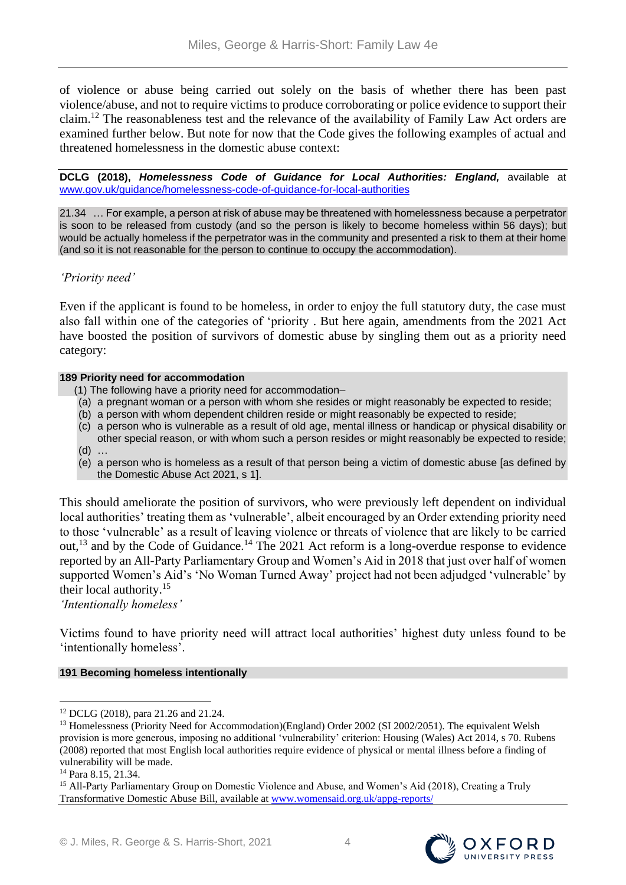of violence or abuse being carried out solely on the basis of whether there has been past violence/abuse, and not to require victims to produce corroborating or police evidence to support their claim.<sup>12</sup> The reasonableness test and the relevance of the availability of Family Law Act orders are examined further below. But note for now that the Code gives the following examples of actual and threatened homelessness in the domestic abuse context:

**DCLG (2018),** *Homelessness Code of Guidance for Local Authorities: England,* available at [www.gov.uk/guidance/homelessness-code-of-guidance-for-local-authorities](http://www.gov.uk/guidance/homelessness-code-of-guidance-for-local-authorities)

21.34 … For example, a person at risk of abuse may be threatened with homelessness because a perpetrator is soon to be released from custody (and so the person is likely to become homeless within 56 days); but would be actually homeless if the perpetrator was in the community and presented a risk to them at their home (and so it is not reasonable for the person to continue to occupy the accommodation).

# *'Priority need'*

Even if the applicant is found to be homeless, in order to enjoy the full statutory duty, the case must also fall within one of the categories of 'priority . But here again, amendments from the 2021 Act have boosted the position of survivors of domestic abuse by singling them out as a priority need category:

# **189 Priority need for accommodation**

- (1) The following have a priority need for accommodation–
- (a) a pregnant woman or a person with whom she resides or might reasonably be expected to reside;
- (b) a person with whom dependent children reside or might reasonably be expected to reside;
- (c) a person who is vulnerable as a result of old age, mental illness or handicap or physical disability or other special reason, or with whom such a person resides or might reasonably be expected to reside; (d) …
- (e) a person who is homeless as a result of that person being a victim of domestic abuse [as defined by the Domestic Abuse Act 2021, s 1].

This should ameliorate the position of survivors, who were previously left dependent on individual local authorities' treating them as 'vulnerable', albeit encouraged by an Order extending priority need to those 'vulnerable' as a result of leaving violence or threats of violence that are likely to be carried out,<sup>13</sup> and by the Code of Guidance.<sup>14</sup> The 2021 Act reform is a long-overdue response to evidence reported by an All-Party Parliamentary Group and Women's Aid in 2018 that just over half of women supported Women's Aid's 'No Woman Turned Away' project had not been adjudged 'vulnerable' by their local authority.<sup>15</sup>

*'Intentionally homeless'*

Victims found to have priority need will attract local authorities' highest duty unless found to be 'intentionally homeless'.

# **191 Becoming homeless intentionally**





 $\overline{a}$ <sup>12</sup> DCLG (2018), para 21.26 and 21.24.

<sup>&</sup>lt;sup>13</sup> Homelessness (Priority Need for Accommodation)(England) Order 2002 (SI 2002/2051). The equivalent Welsh provision is more generous, imposing no additional 'vulnerability' criterion: Housing (Wales) Act 2014, s 70. Rubens (2008) reported that most English local authorities require evidence of physical or mental illness before a finding of vulnerability will be made.

<sup>14</sup> Para 8.15, 21.34.

<sup>&</sup>lt;sup>15</sup> All-Party Parliamentary Group on Domestic Violence and Abuse, and Women's Aid (2018), Creating a Truly Transformative Domestic Abuse Bill, available at [www.womensaid.org.uk/appg-reports/](http://www.womensaid.org.uk/appg-reports/)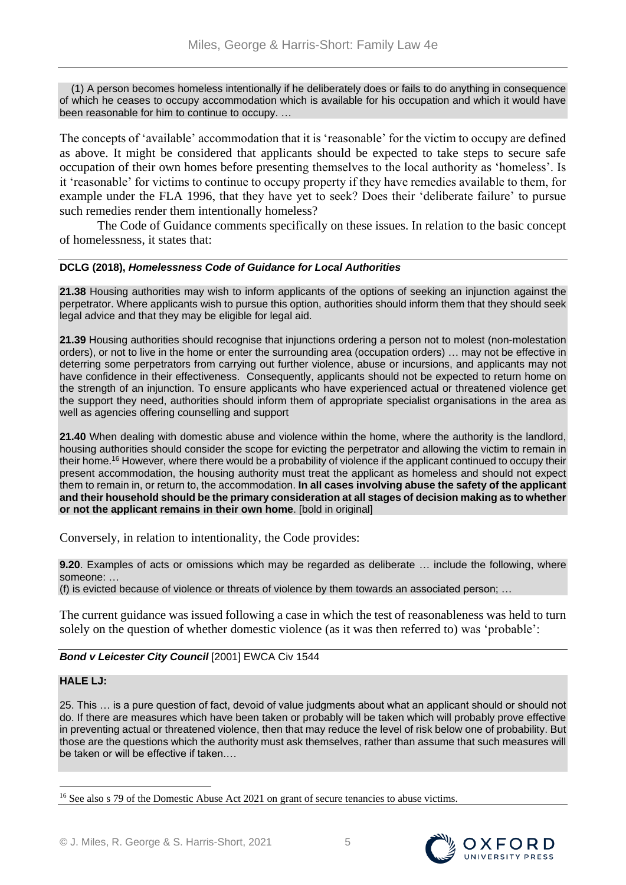(1) A person becomes homeless intentionally if he deliberately does or fails to do anything in consequence of which he ceases to occupy accommodation which is available for his occupation and which it would have been reasonable for him to continue to occupy. …

The concepts of 'available' accommodation that it is 'reasonable' for the victim to occupy are defined as above. It might be considered that applicants should be expected to take steps to secure safe occupation of their own homes before presenting themselves to the local authority as 'homeless'. Is it 'reasonable' for victims to continue to occupy property if they have remedies available to them, for example under the FLA 1996, that they have yet to seek? Does their 'deliberate failure' to pursue such remedies render them intentionally homeless?

The Code of Guidance comments specifically on these issues. In relation to the basic concept of homelessness, it states that:

# **DCLG (2018),** *Homelessness Code of Guidance for Local Authorities*

**21.38** Housing authorities may wish to inform applicants of the options of seeking an injunction against the perpetrator. Where applicants wish to pursue this option, authorities should inform them that they should seek legal advice and that they may be eligible for legal aid.

**21.39** Housing authorities should recognise that injunctions ordering a person not to molest (non-molestation orders), or not to live in the home or enter the surrounding area (occupation orders) … may not be effective in deterring some perpetrators from carrying out further violence, abuse or incursions, and applicants may not have confidence in their effectiveness. Consequently, applicants should not be expected to return home on the strength of an injunction. To ensure applicants who have experienced actual or threatened violence get the support they need, authorities should inform them of appropriate specialist organisations in the area as well as agencies offering counselling and support

**21.40** When dealing with domestic abuse and violence within the home, where the authority is the landlord, housing authorities should consider the scope for evicting the perpetrator and allowing the victim to remain in their home.<sup>16</sup> However, where there would be a probability of violence if the applicant continued to occupy their present accommodation, the housing authority must treat the applicant as homeless and should not expect them to remain in, or return to, the accommodation. **In all cases involving abuse the safety of the applicant and their household should be the primary consideration at all stages of decision making as to whether or not the applicant remains in their own home**. [bold in original]

Conversely, in relation to intentionality, the Code provides:

**9.20**. Examples of acts or omissions which may be regarded as deliberate … include the following, where someone: …

(f) is evicted because of violence or threats of violence by them towards an associated person; …

The current guidance was issued following a case in which the test of reasonableness was held to turn solely on the question of whether domestic violence (as it was then referred to) was 'probable':

# *Bond v Leicester City Council* [2001] EWCA Civ 1544

# **HALE LJ:**

 $\overline{a}$ 

25. This … is a pure question of fact, devoid of value judgments about what an applicant should or should not do. If there are measures which have been taken or probably will be taken which will probably prove effective in preventing actual or threatened violence, then that may reduce the level of risk below one of probability. But those are the questions which the authority must ask themselves, rather than assume that such measures will be taken or will be effective if taken.…





<sup>&</sup>lt;sup>16</sup> See also s 79 of the Domestic Abuse Act 2021 on grant of secure tenancies to abuse victims.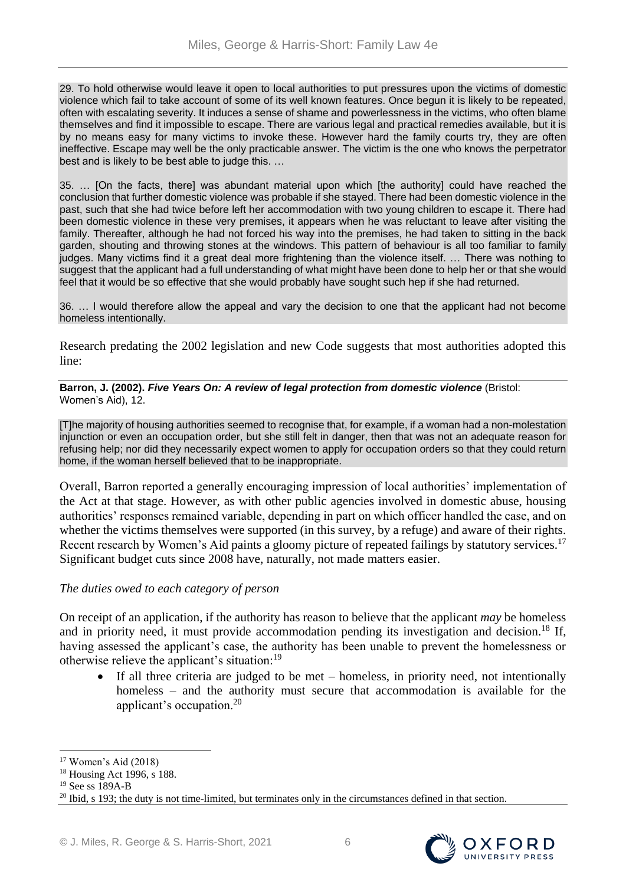29. To hold otherwise would leave it open to local authorities to put pressures upon the victims of domestic violence which fail to take account of some of its well known features. Once begun it is likely to be repeated, often with escalating severity. It induces a sense of shame and powerlessness in the victims, who often blame themselves and find it impossible to escape. There are various legal and practical remedies available, but it is by no means easy for many victims to invoke these. However hard the family courts try, they are often ineffective. Escape may well be the only practicable answer. The victim is the one who knows the perpetrator best and is likely to be best able to judge this. …

35. … [On the facts, there] was abundant material upon which [the authority] could have reached the conclusion that further domestic violence was probable if she stayed. There had been domestic violence in the past, such that she had twice before left her accommodation with two young children to escape it. There had been domestic violence in these very premises, it appears when he was reluctant to leave after visiting the family. Thereafter, although he had not forced his way into the premises, he had taken to sitting in the back garden, shouting and throwing stones at the windows. This pattern of behaviour is all too familiar to family judges. Many victims find it a great deal more frightening than the violence itself. … There was nothing to suggest that the applicant had a full understanding of what might have been done to help her or that she would feel that it would be so effective that she would probably have sought such hep if she had returned.

36. … I would therefore allow the appeal and vary the decision to one that the applicant had not become homeless intentionally.

Research predating the 2002 legislation and new Code suggests that most authorities adopted this line:

**Barron, J. (2002).** *Five Years On: A review of legal protection from domestic violence* (Bristol: Women's Aid), 12.

[T]he majority of housing authorities seemed to recognise that, for example, if a woman had a non-molestation injunction or even an occupation order, but she still felt in danger, then that was not an adequate reason for refusing help; nor did they necessarily expect women to apply for occupation orders so that they could return home, if the woman herself believed that to be inappropriate.

Overall, Barron reported a generally encouraging impression of local authorities' implementation of the Act at that stage. However, as with other public agencies involved in domestic abuse, housing authorities' responses remained variable, depending in part on which officer handled the case, and on whether the victims themselves were supported (in this survey, by a refuge) and aware of their rights. Recent research by Women's Aid paints a gloomy picture of repeated failings by statutory services.<sup>17</sup> Significant budget cuts since 2008 have, naturally, not made matters easier.

# *The duties owed to each category of person*

On receipt of an application, if the authority has reason to believe that the applicant *may* be homeless and in priority need, it must provide accommodation pending its investigation and decision.<sup>18</sup> If, having assessed the applicant's case, the authority has been unable to prevent the homelessness or otherwise relieve the applicant's situation:<sup>19</sup>

• If all three criteria are judged to be met – homeless, in priority need, not intentionally homeless – and the authority must secure that accommodation is available for the applicant's occupation.<sup>20</sup>



<sup>17</sup> Women's Aid (2018)

<sup>18</sup> Housing Act 1996, s 188.

<sup>19</sup> See ss 189A-B

<sup>&</sup>lt;sup>20</sup> Ibid, s 193; the duty is not time-limited, but terminates only in the circumstances defined in that section.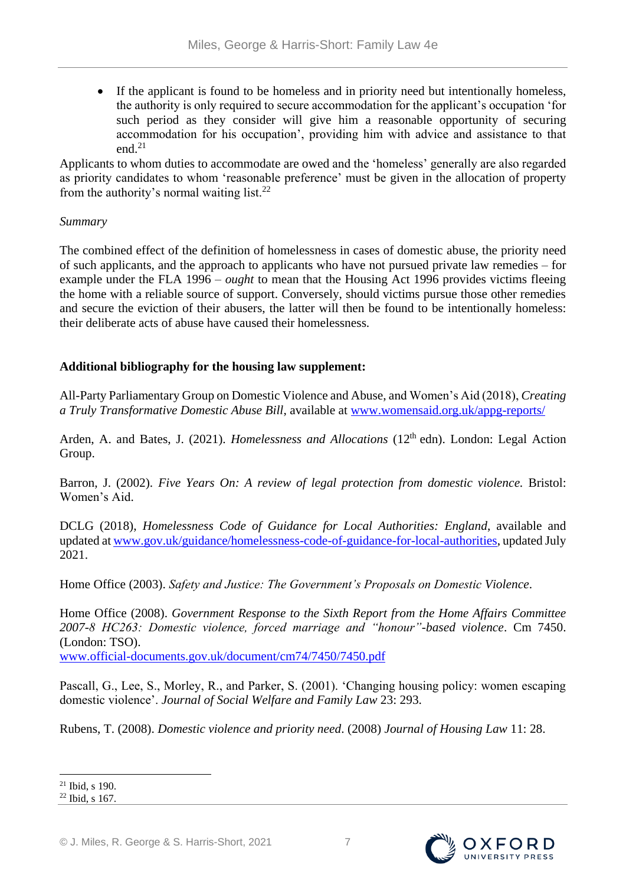If the applicant is found to be homeless and in priority need but intentionally homeless, the authority is only required to secure accommodation for the applicant's occupation 'for such period as they consider will give him a reasonable opportunity of securing accommodation for his occupation', providing him with advice and assistance to that  $end$ <sup>21</sup>

Applicants to whom duties to accommodate are owed and the 'homeless' generally are also regarded as priority candidates to whom 'reasonable preference' must be given in the allocation of property from the authority's normal waiting list.<sup>22</sup>

# *Summary*

The combined effect of the definition of homelessness in cases of domestic abuse, the priority need of such applicants, and the approach to applicants who have not pursued private law remedies – for example under the FLA 1996 – *ought* to mean that the Housing Act 1996 provides victims fleeing the home with a reliable source of support. Conversely, should victims pursue those other remedies and secure the eviction of their abusers, the latter will then be found to be intentionally homeless: their deliberate acts of abuse have caused their homelessness.

# **Additional bibliography for the housing law supplement:**

All-Party Parliamentary Group on Domestic Violence and Abuse, and Women's Aid (2018), *Creating a Truly Transformative Domestic Abuse Bill*, available at [www.womensaid.org.uk/appg-reports/](http://www.womensaid.org.uk/appg-reports/)

Arden, A. and Bates, J. (2021). *Homelessness and Allocations* (12<sup>th</sup> edn). London: Legal Action Group.

Barron, J. (2002). *Five Years On: A review of legal protection from domestic violence*. Bristol: Women's Aid.

DCLG (2018), *Homelessness Code of Guidance for Local Authorities: England*, available and updated at [www.gov.uk/guidance/homelessness-code-of-guidance-for-local-authorities,](http://www.gov.uk/guidance/homelessness-code-of-guidance-for-local-authorities) updated July 2021.

Home Office (2003). *Safety and Justice: The Government's Proposals on Domestic Violence*.

Home Office (2008). *Government Response to the Sixth Report from the Home Affairs Committee 2007-8 HC263: Domestic violence, forced marriage and "honour"-based violence*. Cm 7450. (London: TSO).

[www.official-documents.gov.uk/document/cm74/7450/7450.pdf](http://www.official-documents.gov.uk/document/cm74/7450/7450.pdf)

Pascall, G., Lee, S., Morley, R., and Parker, S. (2001). 'Changing housing policy: women escaping domestic violence'. *Journal of Social Welfare and Family Law* 23: 293.

Rubens, T. (2008). *Domestic violence and priority need*. (2008) *Journal of Housing Law* 11: 28.



 $\overline{a}$ <sup>21</sup> Ibid, s 190.

<sup>22</sup> Ibid, s 167.